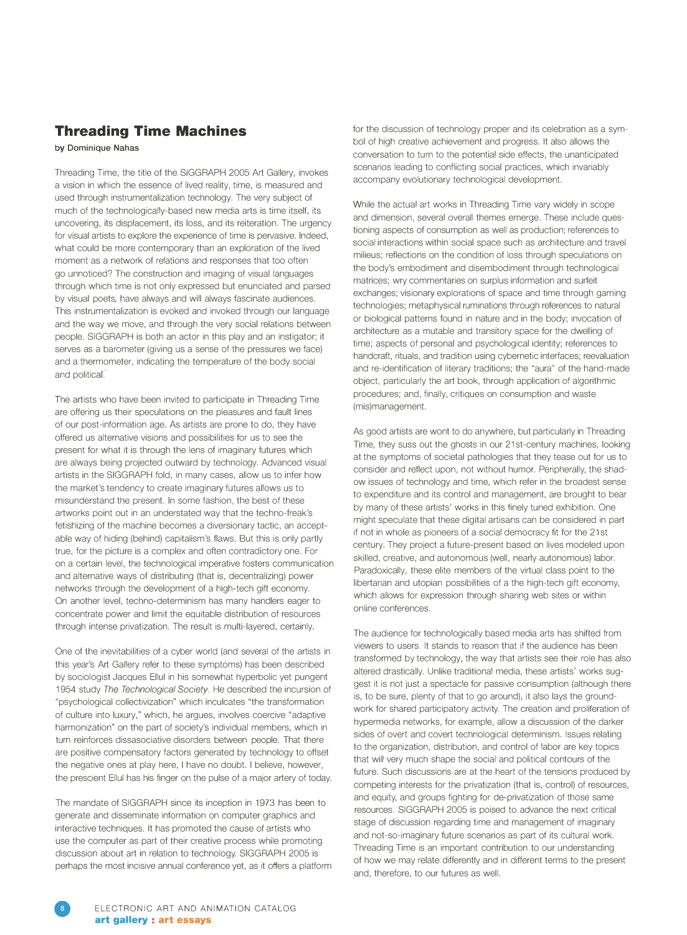## **Threading Time Machines**

**by Dominique Nahas** 

Threading Time, the title of the SIGGRAPH 2005 Art Gallery, invokes a vision in which the essence of lived reality, time, is measured and used through instrumentalization technology. The very subject of much of the technologically-based new media arts is time itself, its uncovering, its displacement, its loss, and its reiteration. The urgency for visual artists to explore the experience of time is pervasive. Indeed, what could be more contemporary than an exploration of the lived moment as a network of relations and responses that too often go unnoticed? The construction and imaging of visual languages through which time is not only expressed but enunciated and parsed by visual poets, have always and will always fascinate audiences. This instrumentalization is evoked and invoked through our language and the way we move, and through the very social relations between people. SIGGRAPH is both an actor in this play and an instigator; it serves as a barometer (giving us a sense of the pressures we face) and a thermometer, indicating the temperature of the body social and political.

The artists who have been invited to participate in Threading Time are offering us their speculations on the pleasures and fault lines of our post-information age. As artists are prone to do, they have offered us alternative visions and possibilities for us to see the present for what it is through the lens of imaginary futures which are always being projected outward by technology. Advanced visual artists in the SIGGRAPH fold, in many cases, allow us to infer how the market's tendency to create imaginary futures allows us to misunderstand the present. In some fashion, the best of these artworks point out in an understated way that the techno-freak's fetishizing of the machine becomes a diversionary tactic, an acceptable way of hiding (behind) capitalism's flaws. But this is only partly true, for the picture is a complex and often contradictory one. For on a certain level, the technological imperative fosters communication and alternative ways of distributing (that is, decentralizing) power networks through the development of a high-tech gift economy. On another level, techno-determinism has many handlers eager to concentrate power and limit the equitable distribution of resources through intense privatization. The result is multi-layered, certainly.

One of the inevitabilities of a cyber world (and several of the artists in this year's Art Gallery refer to these symptoms) has been described by sociologist Jacques Ellul in his somewhat hyperbolic yet pungent 1954 study *The Technological Society.* He described the incursion of "psychological collectivization" which inculcates "the transformation of culture into luxury," which, he argues, involves coercive "adaptive harmonization" on the part of society's individual members, which in turn reinforces dissasociative disorders between people. That there are positive compensatory factors generated by technology to offset the negative ones at play here, I have no doubt. I believe, however, the prescient Ellul has his finger on the pulse of a major artery of today.

The mandate of SIGGRAPH since its inception in 1973 has been to generate and disseminate information on computer graphics and interactive techniques. It has promoted the cause of artists who use the computer as part of their creative process while promoting discussion about art in relation to technology. SIGGRAPH 2005 is perhaps the most incisive annual conference yet, as it offers a platform for the discussion of technology proper and its celebration as a symbol of high creative achievement and progress. It also allows the conversation to turn to the potential side effects, the unanticipated scenarios leading to conflicting social practices, which invariably accompany evolutionary technological development.

While the actual art works in Threading Time vary widely in scope and dimension, several overall themes emerge. These include questioning aspects of consumption as well as production; references to social interactions within social space such as architecture and travel milieus; reflections on the condition of loss through speculations on the body's embodiment and disembodiment through technological matrices; wry commentaries on surplus information and surfeit exchanges; visionary explorations of space and time through gaming technologies; metaphysical ruminations through references to natural or biological patterns found in nature and in the body; invocation of architecture as a mutable and transitory space for the dwelling of time; aspects of personal and psychological identity; references to handcraft, rituals, and tradition using cybernetic interfaces; reevaluation and re-identification of literary traditions; the "aura" of the hand-made object, particularly the art book, through application of algorithmic procedures; and, finally, critiques on consumption and waste (mis)management.

As good artists are wont to do anywhere, but particularly in Threading Time, they suss out the ghosts in our 21st-century machines, looking at the symptoms of societal pathologies that they tease out for us to consider and reflect upon, not without humor. Peripherally, the shadow issues of technology and time, which refer in the broadest sense to expenditure and its control and management, are brought to bear by many of these artists' works in this finely tuned exhibition. One might speculate that these digital artisans can be considered in part if not in whole as pioneers of a social democracy fit for the 21st century. They project a future-present based on lives modeled upon skilled, creative, and autonomous (well, nearly autonomous) labor. Paradoxically, these elite members of the virtual class point to the libertarian and utopian possibilities of a the high-tech gift economy, which allows for expression through sharing web sites or within online conferences.

The audience for technologically based media arts has shifted from viewers to users. It stands to reason that if the audience has been transformed by technology, the way that artists see their role has also altered drastically. Unlike traditional media, these artists' works suggest it is not just a spectacle for passive consumption (although there is, to be sure, plenty of that to go around), it also lays the groundwork for shared participatory activity. The creation and proliferation of hypermedia networks, for example, allow a discussion of the darker sides of overt and covert technological determinism. Issues relating to the organization, distribution, and control of labor are key topics that will very much shape the social and political contours of the future. Such discussions are at the heart of the tensions produced by competing interests for the privatization (that is, control) of resources, and equity, and groups fighting for de-privatization of those same resources. SIGGRAPH 2005 is poised to advance the next critical stage of discussion regarding time and management of imaginary and not-so-imaginary future scenarios as part of its cultural work. Threading Time is an important contribution to our understanding of how we may relate differently and in different terms to the present and, therefore, to our futures as well.